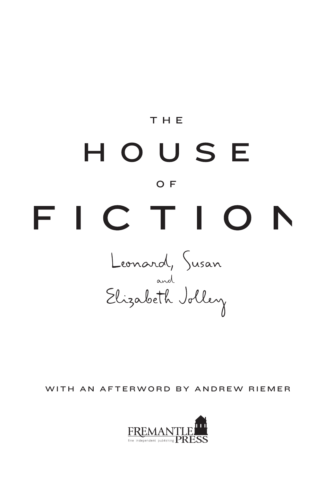## **Leonard, Susan & Elizabeth**  HOUSE O F FICTIO Leonard, Susan<br>Elizabeth Jolley

WITH AN AFTERWORD BY ANDREW RIEMER

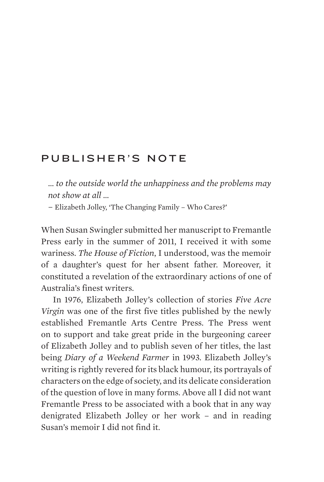## PUBLISHER'S NOTE

*… to the outside world the unhappiness and the problems may not show at all …*

– Elizabeth Jolley, 'The Changing Family – Who Cares?'

When Susan Swingler submitted her manuscript to Fremantle Press early in the summer of 2011, I received it with some wariness. *The House of Fiction*, I understood, was the memoir of a daughter's quest for her absent father. Moreover, it constituted a revelation of the extraordinary actions of one of Australia's finest writers.

In 1976, Elizabeth Jolley's collection of stories *Five Acre Virgin* was one of the first five titles published by the newly established Fremantle Arts Centre Press. The Press went on to support and take great pride in the burgeoning career of Elizabeth Jolley and to publish seven of her titles, the last being *Diary of a Weekend Farmer* in 1993. Elizabeth Jolley's writing is rightly revered for its black humour, its portrayals of characters on the edge of society, and its delicate consideration of the question of love in many forms. Above all I did not want Fremantle Press to be associated with a book that in any way denigrated Elizabeth Jolley or her work – and in reading Susan's memoir I did not find it.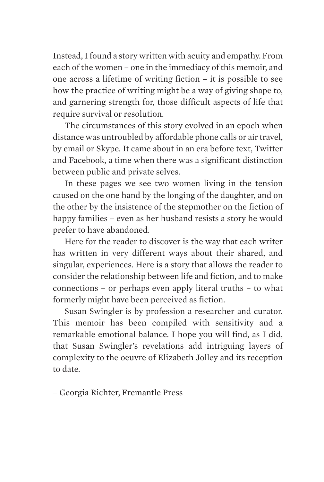Instead, I found a story written with acuity and empathy. From each of the women – one in the immediacy of this memoir, and one across a lifetime of writing fiction – it is possible to see how the practice of writing might be a way of giving shape to, and garnering strength for, those difficult aspects of life that require survival or resolution.

The circumstances of this story evolved in an epoch when distance was untroubled by affordable phone calls or air travel, by email or Skype. It came about in an era before text, Twitter and Facebook, a time when there was a significant distinction between public and private selves.

In these pages we see two women living in the tension caused on the one hand by the longing of the daughter, and on the other by the insistence of the stepmother on the fiction of happy families – even as her husband resists a story he would prefer to have abandoned.

Here for the reader to discover is the way that each writer has written in very different ways about their shared, and singular, experiences. Here is a story that allows the reader to consider the relationship between life and fiction, and to make connections – or perhaps even apply literal truths – to what formerly might have been perceived as fiction.

Susan Swingler is by profession a researcher and curator. This memoir has been compiled with sensitivity and a remarkable emotional balance. I hope you will find, as I did, that Susan Swingler's revelations add intriguing layers of complexity to the oeuvre of Elizabeth Jolley and its reception to date.

– Georgia Richter, Fremantle Press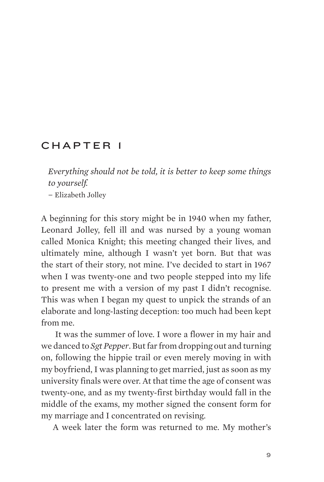## CHAPTER 1

*Everything should not be told, it is better to keep some things to yourself.*  – Elizabeth Jolley

A beginning for this story might be in 1940 when my father, Leonard Jolley, fell ill and was nursed by a young woman called Monica Knight; this meeting changed their lives, and ultimately mine, although I wasn't yet born. But that was the start of their story, not mine. I've decided to start in 1967 when I was twenty-one and two people stepped into my life to present me with a version of my past I didn't recognise. This was when I began my quest to unpick the strands of an elaborate and long-lasting deception: too much had been kept from me.

 It was the summer of love. I wore a flower in my hair and we danced to *Sgt Pepper*. But far from dropping out and turning on, following the hippie trail or even merely moving in with my boyfriend, I was planning to get married, just as soon as my university finals were over. At that time the age of consent was twenty-one, and as my twenty-first birthday would fall in the middle of the exams, my mother signed the consent form for my marriage and I concentrated on revising.

A week later the form was returned to me. My mother's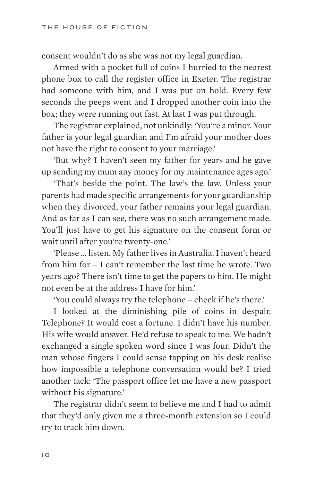consent wouldn't do as she was not my legal guardian.

Armed with a pocket full of coins I hurried to the nearest phone box to call the register office in Exeter. The registrar had someone with him, and I was put on hold. Every few seconds the peeps went and I dropped another coin into the box; they were running out fast. At last I was put through.

The registrar explained, not unkindly: 'You're a minor. Your father is your legal guardian and I'm afraid your mother does not have the right to consent to your marriage.'

'But why? I haven't seen my father for years and he gave up sending my mum any money for my maintenance ages ago.'

'That's beside the point. The law's the law. Unless your parents had made specific arrangements for your guardianship when they divorced, your father remains your legal guardian. And as far as I can see, there was no such arrangement made. You'll just have to get his signature on the consent form or wait until after you're twenty-one.'

'Please ... listen. My father lives in Australia. I haven't heard from him for – I can't remember the last time he wrote. Two years ago? There isn't time to get the papers to him. He might not even be at the address I have for him.'

'You could always try the telephone – check if he's there.'

I looked at the diminishing pile of coins in despair. Telephone? It would cost a fortune. I didn't have his number. His wife would answer. He'd refuse to speak to me. We hadn't exchanged a single spoken word since I was four. Didn't the man whose fingers I could sense tapping on his desk realise how impossible a telephone conversation would be? I tried another tack: 'The passport office let me have a new passport without his signature.'

The registrar didn't seem to believe me and I had to admit that they'd only given me a three-month extension so I could try to track him down.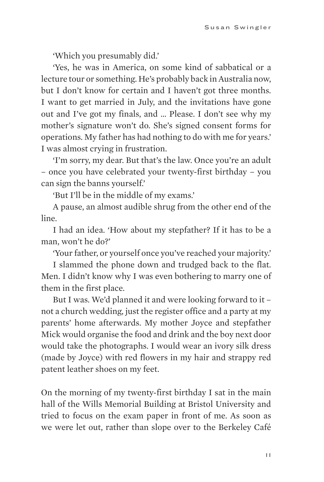'Which you presumably did.'

'Yes, he was in America, on some kind of sabbatical or a lecture tour or something. He's probably back in Australia now, but I don't know for certain and I haven't got three months. I want to get married in July, and the invitations have gone out and I've got my finals, and … Please. I don't see why my mother's signature won't do. She's signed consent forms for operations. My father has had nothing to do with me for years.' I was almost crying in frustration.

'I'm sorry, my dear. But that's the law. Once you're an adult – once you have celebrated your twenty-first birthday – you can sign the banns yourself.'

'But I'll be in the middle of my exams.'

A pause, an almost audible shrug from the other end of the line.

I had an idea. 'How about my stepfather? If it has to be a man, won't he do?'

'Your father, or yourself once you've reached your majority.'

I slammed the phone down and trudged back to the flat. Men. I didn't know why I was even bothering to marry one of them in the first place.

But I was. We'd planned it and were looking forward to it – not a church wedding, just the register office and a party at my parents' home afterwards. My mother Joyce and stepfather Mick would organise the food and drink and the boy next door would take the photographs. I would wear an ivory silk dress (made by Joyce) with red flowers in my hair and strappy red patent leather shoes on my feet.

On the morning of my twenty-first birthday I sat in the main hall of the Wills Memorial Building at Bristol University and tried to focus on the exam paper in front of me. As soon as we were let out, rather than slope over to the Berkeley Café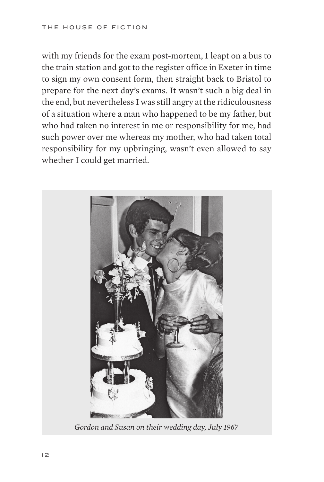with my friends for the exam post-mortem, I leapt on a bus to the train station and got to the register office in Exeter in time to sign my own consent form, then straight back to Bristol to prepare for the next day's exams. It wasn't such a big deal in the end, but nevertheless I was still angry at the ridiculousness of a situation where a man who happened to be my father, but who had taken no interest in me or responsibility for me, had such power over me whereas my mother, who had taken total responsibility for my upbringing, wasn't even allowed to say whether I could get married.



*Gordon and Susan on their wedding day, July 1967*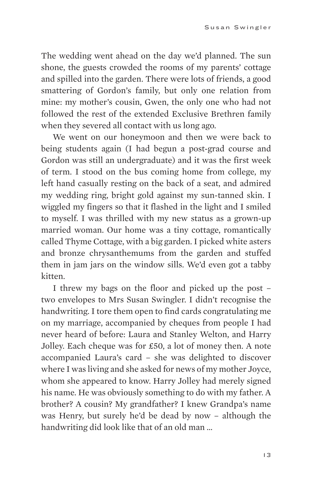The wedding went ahead on the day we'd planned. The sun shone, the guests crowded the rooms of my parents' cottage and spilled into the garden. There were lots of friends, a good smattering of Gordon's family, but only one relation from mine: my mother's cousin, Gwen, the only one who had not followed the rest of the extended Exclusive Brethren family when they severed all contact with us long ago.

We went on our honeymoon and then we were back to being students again (I had begun a post-grad course and Gordon was still an undergraduate) and it was the first week of term. I stood on the bus coming home from college, my left hand casually resting on the back of a seat, and admired my wedding ring, bright gold against my sun-tanned skin. I wiggled my fingers so that it flashed in the light and I smiled to myself. I was thrilled with my new status as a grown-up married woman. Our home was a tiny cottage, romantically called Thyme Cottage, with a big garden. I picked white asters and bronze chrysanthemums from the garden and stuffed them in jam jars on the window sills. We'd even got a tabby kitten.

I threw my bags on the floor and picked up the post – two envelopes to Mrs Susan Swingler. I didn't recognise the handwriting. I tore them open to find cards congratulating me on my marriage, accompanied by cheques from people I had never heard of before: Laura and Stanley Welton, and Harry Jolley. Each cheque was for £50, a lot of money then. A note accompanied Laura's card – she was delighted to discover where I was living and she asked for news of my mother Joyce, whom she appeared to know. Harry Jolley had merely signed his name. He was obviously something to do with my father. A brother? A cousin? My grandfather? I knew Grandpa's name was Henry, but surely he'd be dead by now – although the handwriting did look like that of an old man …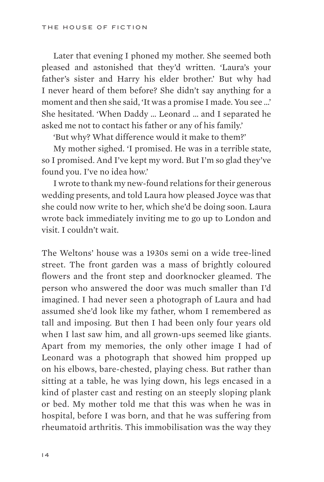Later that evening I phoned my mother. She seemed both pleased and astonished that they'd written. 'Laura's your father's sister and Harry his elder brother.' But why had I never heard of them before? She didn't say anything for a moment and then she said, 'It was a promise I made. You see …' She hesitated. 'When Daddy … Leonard … and I separated he asked me not to contact his father or any of his family.'

'But why? What difference would it make to them?'

My mother sighed. 'I promised. He was in a terrible state, so I promised. And I've kept my word. But I'm so glad they've found you. I've no idea how.'

I wrote to thank my new-found relations for their generous wedding presents, and told Laura how pleased Joyce was that she could now write to her, which she'd be doing soon. Laura wrote back immediately inviting me to go up to London and visit. I couldn't wait.

The Weltons' house was a 1930s semi on a wide tree-lined street. The front garden was a mass of brightly coloured flowers and the front step and doorknocker gleamed. The person who answered the door was much smaller than I'd imagined. I had never seen a photograph of Laura and had assumed she'd look like my father, whom I remembered as tall and imposing. But then I had been only four years old when I last saw him, and all grown-ups seemed like giants. Apart from my memories, the only other image I had of Leonard was a photograph that showed him propped up on his elbows, bare-chested, playing chess. But rather than sitting at a table, he was lying down, his legs encased in a kind of plaster cast and resting on an steeply sloping plank or bed. My mother told me that this was when he was in hospital, before I was born, and that he was suffering from rheumatoid arthritis. This immobilisation was the way they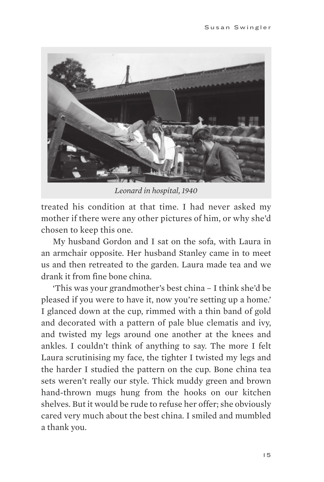

*Leonard in hospital, 1940*

treated his condition at that time. I had never asked my mother if there were any other pictures of him, or why she'd chosen to keep this one.

My husband Gordon and I sat on the sofa, with Laura in an armchair opposite. Her husband Stanley came in to meet us and then retreated to the garden. Laura made tea and we drank it from fine bone china.

'This was your grandmother's best china – I think she'd be pleased if you were to have it, now you're setting up a home.' I glanced down at the cup, rimmed with a thin band of gold and decorated with a pattern of pale blue clematis and ivy, and twisted my legs around one another at the knees and ankles. I couldn't think of anything to say. The more I felt Laura scrutinising my face, the tighter I twisted my legs and the harder I studied the pattern on the cup. Bone china tea sets weren't really our style. Thick muddy green and brown hand-thrown mugs hung from the hooks on our kitchen shelves. But it would be rude to refuse her offer; she obviously cared very much about the best china. I smiled and mumbled a thank you.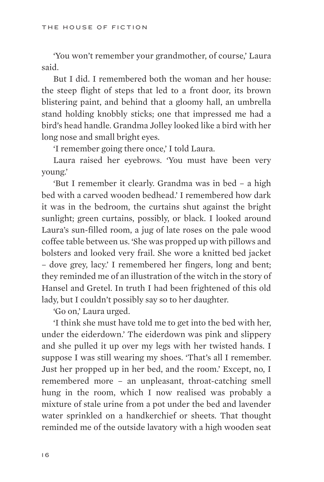'You won't remember your grandmother, of course,' Laura said.

But I did. I remembered both the woman and her house: the steep flight of steps that led to a front door, its brown blistering paint, and behind that a gloomy hall, an umbrella stand holding knobbly sticks; one that impressed me had a bird's head handle. Grandma Jolley looked like a bird with her long nose and small bright eyes.

'I remember going there once,' I told Laura.

Laura raised her eyebrows. 'You must have been very young.'

'But I remember it clearly. Grandma was in bed – a high bed with a carved wooden bedhead' I remembered how dark it was in the bedroom, the curtains shut against the bright sunlight; green curtains, possibly, or black. I looked around Laura's sun-filled room, a jug of late roses on the pale wood coffee table between us. 'She was propped up with pillows and bolsters and looked very frail. She wore a knitted bed jacket – dove grey, lacy.' I remembered her fingers, long and bent; they reminded me of an illustration of the witch in the story of Hansel and Gretel. In truth I had been frightened of this old lady, but I couldn't possibly say so to her daughter.

'Go on,' Laura urged.

'I think she must have told me to get into the bed with her, under the eiderdown.' The eiderdown was pink and slippery and she pulled it up over my legs with her twisted hands. I suppose I was still wearing my shoes. 'That's all I remember. Just her propped up in her bed, and the room.' Except, no, I remembered more – an unpleasant, throat-catching smell hung in the room, which I now realised was probably a mixture of stale urine from a pot under the bed and lavender water sprinkled on a handkerchief or sheets. That thought reminded me of the outside lavatory with a high wooden seat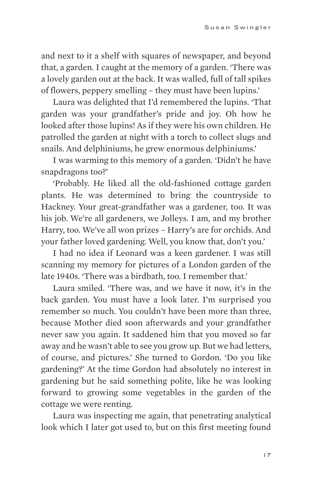and next to it a shelf with squares of newspaper, and beyond that, a garden. I caught at the memory of a garden. 'There was a lovely garden out at the back. It was walled, full of tall spikes of flowers, peppery smelling – they must have been lupins.'

Laura was delighted that I'd remembered the lupins. 'That garden was your grandfather's pride and joy. Oh how he looked after those lupins! As if they were his own children. He patrolled the garden at night with a torch to collect slugs and snails. And delphiniums, he grew enormous delphiniums.'

I was warming to this memory of a garden. 'Didn't he have snapdragons too?'

'Probably. He liked all the old-fashioned cottage garden plants. He was determined to bring the countryside to Hackney. Your great-grandfather was a gardener, too. It was his job. We're all gardeners, we Jolleys. I am, and my brother Harry, too. We've all won prizes – Harry's are for orchids. And your father loved gardening. Well, you know that, don't you.'

I had no idea if Leonard was a keen gardener. I was still scanning my memory for pictures of a London garden of the late 1940s. 'There was a birdbath, too. I remember that.'

Laura smiled. 'There was, and we have it now, it's in the back garden. You must have a look later. I'm surprised you remember so much. You couldn't have been more than three, because Mother died soon afterwards and your grandfather never saw you again. It saddened him that you moved so far away and he wasn't able to see you grow up. But we had letters, of course, and pictures.' She turned to Gordon. 'Do you like gardening?' At the time Gordon had absolutely no interest in gardening but he said something polite, like he was looking forward to growing some vegetables in the garden of the cottage we were renting.

Laura was inspecting me again, that penetrating analytical look which I later got used to, but on this first meeting found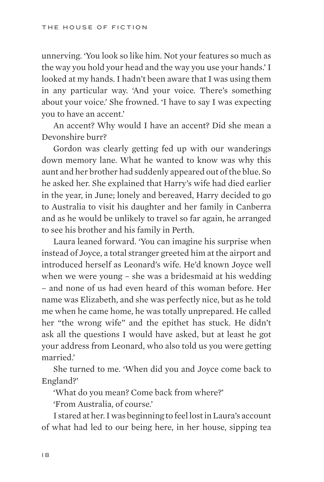unnerving. 'You look so like him. Not your features so much as the way you hold your head and the way you use your hands.' I looked at my hands. I hadn't been aware that I was using them in any particular way. 'And your voice. There's something about your voice.' She frowned. 'I have to say I was expecting you to have an accent.'

An accent? Why would I have an accent? Did she mean a Devonshire burr?

Gordon was clearly getting fed up with our wanderings down memory lane. What he wanted to know was why this aunt and her brother had suddenly appeared out of the blue. So he asked her. She explained that Harry's wife had died earlier in the year, in June; lonely and bereaved, Harry decided to go to Australia to visit his daughter and her family in Canberra and as he would be unlikely to travel so far again, he arranged to see his brother and his family in Perth.

Laura leaned forward. 'You can imagine his surprise when instead of Joyce, a total stranger greeted him at the airport and introduced herself as Leonard's wife. He'd known Joyce well when we were young – she was a bridesmaid at his wedding – and none of us had even heard of this woman before. Her name was Elizabeth, and she was perfectly nice, but as he told me when he came home, he was totally unprepared. He called her "the wrong wife" and the epithet has stuck. He didn't ask all the questions I would have asked, but at least he got your address from Leonard, who also told us you were getting married.'

She turned to me. 'When did you and Joyce come back to England?'

'What do you mean? Come back from where?'

'From Australia, of course.'

I stared at her. I was beginning to feel lost in Laura's account of what had led to our being here, in her house, sipping tea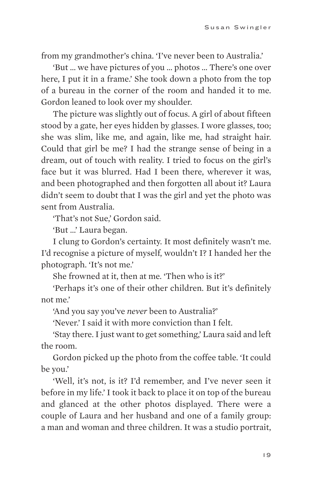from my grandmother's china. 'I've never been to Australia.'

'But … we have pictures of you … photos … There's one over here, I put it in a frame.' She took down a photo from the top of a bureau in the corner of the room and handed it to me. Gordon leaned to look over my shoulder.

The picture was slightly out of focus. A girl of about fifteen stood by a gate, her eyes hidden by glasses. I wore glasses, too; she was slim, like me, and again, like me, had straight hair. Could that girl be me? I had the strange sense of being in a dream, out of touch with reality. I tried to focus on the girl's face but it was blurred. Had I been there, wherever it was, and been photographed and then forgotten all about it? Laura didn't seem to doubt that I was the girl and yet the photo was sent from Australia.

'That's not Sue,' Gordon said.

'But …' Laura began.

I clung to Gordon's certainty. It most definitely wasn't me. I'd recognise a picture of myself, wouldn't I? I handed her the photograph. 'It's not me.'

She frowned at it, then at me. 'Then who is it?'

'Perhaps it's one of their other children. But it's definitely not me.'

'And you say you've *never* been to Australia?'

'Never.' I said it with more conviction than I felt.

'Stay there. I just want to get something,' Laura said and left the room.

Gordon picked up the photo from the coffee table. 'It could be you.'

'Well, it's not, is it? I'd remember, and I've never seen it before in my life.' I took it back to place it on top of the bureau and glanced at the other photos displayed. There were a couple of Laura and her husband and one of a family group: a man and woman and three children. It was a studio portrait,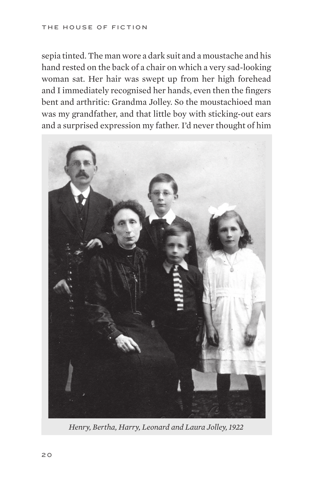sepia tinted. The man wore a dark suit and a moustache and his hand rested on the back of a chair on which a very sad-looking woman sat. Her hair was swept up from her high forehead and I immediately recognised her hands, even then the fingers bent and arthritic: Grandma Jolley. So the moustachioed man was my grandfather, and that little boy with sticking-out ears and a surprised expression my father. I'd never thought of him



*Henry, Bertha, Harry, Leonard and Laura Jolley, 1922*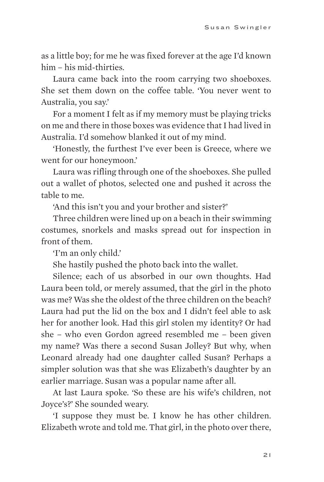as a little boy; for me he was fixed forever at the age I'd known him – his mid-thirties.

Laura came back into the room carrying two shoeboxes. She set them down on the coffee table. 'You never went to Australia, you say.'

For a moment I felt as if my memory must be playing tricks on me and there in those boxes was evidence that I had lived in Australia. I'd somehow blanked it out of my mind.

'Honestly, the furthest I've ever been is Greece, where we went for our honeymoon.'

Laura was rifling through one of the shoeboxes. She pulled out a wallet of photos, selected one and pushed it across the table to me.

'And this isn't you and your brother and sister?'

Three children were lined up on a beach in their swimming costumes, snorkels and masks spread out for inspection in front of them.

'I'm an only child.'

She hastily pushed the photo back into the wallet.

Silence; each of us absorbed in our own thoughts. Had Laura been told, or merely assumed, that the girl in the photo was me? Was she the oldest of the three children on the beach? Laura had put the lid on the box and I didn't feel able to ask her for another look. Had this girl stolen my identity? Or had she – who even Gordon agreed resembled me – been given my name? Was there a second Susan Jolley? But why, when Leonard already had one daughter called Susan? Perhaps a simpler solution was that she was Elizabeth's daughter by an earlier marriage. Susan was a popular name after all.

At last Laura spoke. 'So these are his wife's children, not Joyce's?' She sounded weary.

'I suppose they must be. I know he has other children. Elizabeth wrote and told me. That girl, in the photo over there,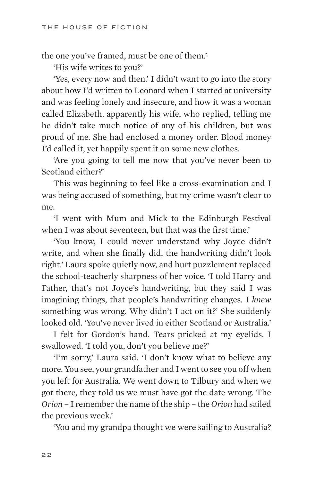the one you've framed, must be one of them.'

'His wife writes to you?'

'Yes, every now and then.' I didn't want to go into the story about how I'd written to Leonard when I started at university and was feeling lonely and insecure, and how it was a woman called Elizabeth, apparently his wife, who replied, telling me he didn't take much notice of any of his children, but was proud of me. She had enclosed a money order. Blood money I'd called it, yet happily spent it on some new clothes.

'Are you going to tell me now that you've never been to Scotland either?'

This was beginning to feel like a cross-examination and I was being accused of something, but my crime wasn't clear to me.

'I went with Mum and Mick to the Edinburgh Festival when I was about seventeen, but that was the first time.'

'You know, I could never understand why Joyce didn't write, and when she finally did, the handwriting didn't look right.' Laura spoke quietly now, and hurt puzzlement replaced the school-teacherly sharpness of her voice. 'I told Harry and Father, that's not Joyce's handwriting, but they said I was imagining things, that people's handwriting changes. I *knew* something was wrong. Why didn't I act on it?' She suddenly looked old. 'You've never lived in either Scotland or Australia.'

I felt for Gordon's hand. Tears pricked at my eyelids. I swallowed. 'I told you, don't you believe me?'

'I'm sorry,' Laura said. 'I don't know what to believe any more. You see, your grandfather and I went to see you off when you left for Australia. We went down to Tilbury and when we got there, they told us we must have got the date wrong. The *Orion* – I remember the name of the ship – the *Orion* had sailed the previous week.'

'You and my grandpa thought we were sailing to Australia?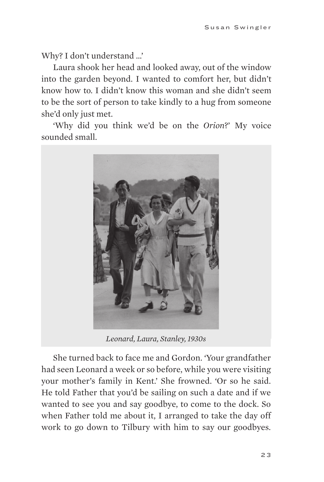Why? I don't understand …'

Laura shook her head and looked away, out of the window into the garden beyond. I wanted to comfort her, but didn't know how to. I didn't know this woman and she didn't seem to be the sort of person to take kindly to a hug from someone she'd only just met.

'Why did you think we'd be on the *Orion*?' My voice sounded small.



*Leonard, Laura, Stanley, 1930s*

She turned back to face me and Gordon. 'Your grandfather had seen Leonard a week or so before, while you were visiting your mother's family in Kent.' She frowned. 'Or so he said. He told Father that you'd be sailing on such a date and if we wanted to see you and say goodbye, to come to the dock. So when Father told me about it, I arranged to take the day off work to go down to Tilbury with him to say our goodbyes.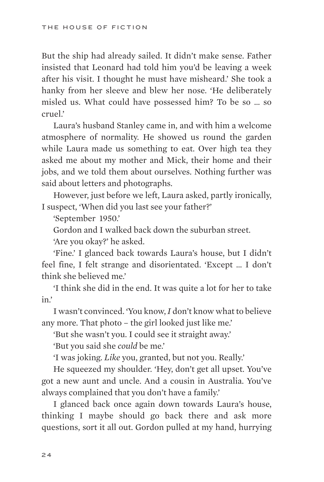But the ship had already sailed. It didn't make sense. Father insisted that Leonard had told him you'd be leaving a week after his visit. I thought he must have misheard.' She took a hanky from her sleeve and blew her nose. 'He deliberately misled us. What could have possessed him? To be so … so cruel.'

Laura's husband Stanley came in, and with him a welcome atmosphere of normality. He showed us round the garden while Laura made us something to eat. Over high tea they asked me about my mother and Mick, their home and their jobs, and we told them about ourselves. Nothing further was said about letters and photographs.

However, just before we left, Laura asked, partly ironically, I suspect, 'When did you last see your father?'

'September 1950.'

Gordon and I walked back down the suburban street.

'Are you okay?' he asked.

'Fine.' I glanced back towards Laura's house, but I didn't feel fine, I felt strange and disorientated. 'Except … I don't think she believed me.'

'I think she did in the end. It was quite a lot for her to take in.'

I wasn't convinced. 'You know, *I* don't know what to believe any more. That photo – the girl looked just like me.'

'But she wasn't you. I could see it straight away.'

'But you said she *could* be me.'

'I was joking. *Like* you, granted, but not you. Really.'

He squeezed my shoulder. 'Hey, don't get all upset. You've got a new aunt and uncle. And a cousin in Australia. You've always complained that you don't have a family.'

I glanced back once again down towards Laura's house, thinking I maybe should go back there and ask more questions, sort it all out. Gordon pulled at my hand, hurrying